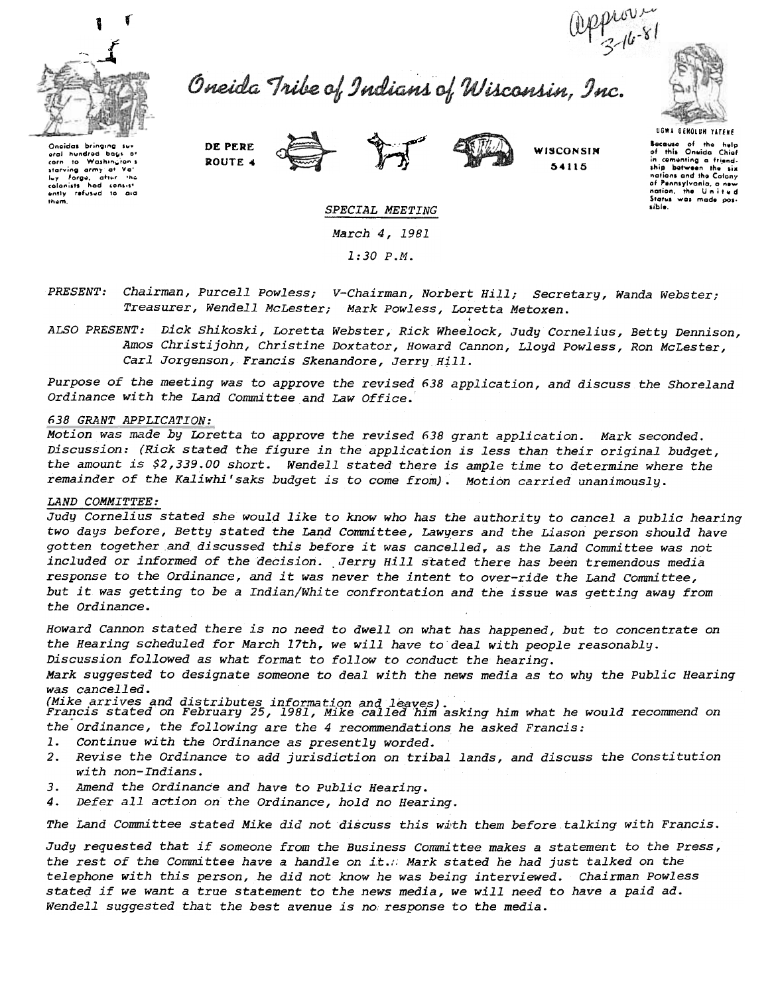

Oneida Tribe of Indians of Wisconsin, Inc.



Oneidas bringing aral hundred bays of corn to Washing<br>starving army at .<br>ran s Forge, after the 



54115

Because of the help<br>of this Oneida Chief comenting a friendship between the six nations and the Colony<br>of Pennsylvania, a new nation, the United sible.

UGWA OENOLUN YATEHE

## SPECIAL MEETING March 4, 1981  $1:30 P.M.$

Chairman, Purcell Powless; V-Chairman, Norbert Hill; Secretary, Wanda Webster; PRESENT: Treasurer, Wendell McLester; Mark Powless, Loretta Metoxen.

ALSO PRESENT: Dick Shikoski, Loretta Webster, Rick Wheelock, Judy Cornelius, Betty Dennison, Amos Christijohn, Christine Doxtator, Howard Cannon, Lloyd Powless, Ron McLester, Carl Jorgenson, Francis Skenandore, Jerry Hill.

Purpose of the meeting was to approve the revised 638 application, and discuss the Shoreland Ordinance with the Land Committee and Law Office.

## 638 GRANT APPLICATION:

Motion was made by Loretta to approve the revised 638 grant application. Mark seconded. Discussion: (Rick stated the figure in the application is less than their original budget, the amount is \$2,339.00 short. Wendell stated there is ample time to determine where the remainder of the Kaliwhi'saks budget is to come from). Motion carried unanimously.

## LAND COMMITTEE:

Judy Cornelius stated she would like to know who has the authority to cancel a public hearing two days before, Betty stated the Land Committee, Lawyers and the Liason person should have gotten together and discussed this before it was cancelled, as the Land Committee was not included or informed of the decision. Jerry Hill stated there has been tremendous media response to the Ordinance, and it was never the intent to over-ride the Land Committee, but it was getting to be a Indian/White confrontation and the issue was getting away from the Ordinance.

Howard Cannon stated there is no need to dwell on what has happened, but to concentrate on the Hearing scheduled for March 17th, we will have to deal with people reasonably.

Discussion followed as what format to follow to conduct the hearing.

Mark suggested to designate someone to deal with the news media as to why the Public Hearing was cancelled.

(Mike arrives and distributes information and leaves).<br>Francis stated on February 25, 1981, Mike called him asking him what he would recommend on the Ordinance, the following are the 4 recommendations he asked Francis:

- Continue with the Ordinance as presently worded. 1.
- Revise the Ordinance to add jurisdiction on tribal lands, and discuss the Constitution  $2<sup>2</sup>$ with non-Indians.
- Amend the Ordinance and have to Public Hearing.  $3.$
- Defer all action on the Ordinance, hold no Hearing. 4.

The Land Committee stated Mike did not discuss this with them before talking with Francis.

Judy requested that if someone from the Business Committee makes a statement to the Press, the rest of the Committee have a handle on it. Mark stated he had just talked on the telephone with this person, he did not know he was being interviewed. Chairman Powless stated if we want a true statement to the news media, we will need to have a paid ad. Wendell suggested that the best avenue is no response to the media.